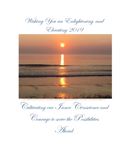Wishing You an Enlightening and

Elevating 2019



A picture Partha Ghosh captured during a summer morning at Cape Cod Massachusetts

Cultivating our Inner Conscience and

Courage to serve the Possibilities

Ahead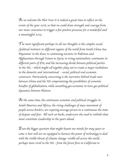*As we welcome the New Year it is indeed a great time to reflect on the events of the year 2018, so that we could draw strength and courage from our inner conscience to trigger a few positive processes for a wonderful and a meaningful 2019.*

*The most significant perhaps in all our thoughts is the complex social /political instincts in different regions of the world from South China Sea, Myanmar in the East, to continuing tensions in Pakistan and Afghanistan through Yemen to Syria, to rising nationalistic sentiments in different parts of EU, and the increasing divide between political parties in the US, - which might all together play out to create a major turbulence in the domestic and international - social, political and economic constructs. Particularly concerning is the narrative behind trade wars between China and the US compromising the possibilities of economic benefits of globalization, while unsettling geo-economic in turn geo-political dynamics between Nations*

*At the same time, the continuous economic and political struggles in South America and Africa, the rising challenges of mass movement of people across borders, are exposing average person in a continuous the state of despair and fear. All such set backs, underscore the need to rethink what must constitute Leadership in the years ahead.*

*Even the bigger question that might haunt our minds for may years to come is how well are we equipped to harness the power of technology to deal with the visible threat of climate change* –*visible all across the world, perhaps more vivid in the US* – *from the forest fires in California to*